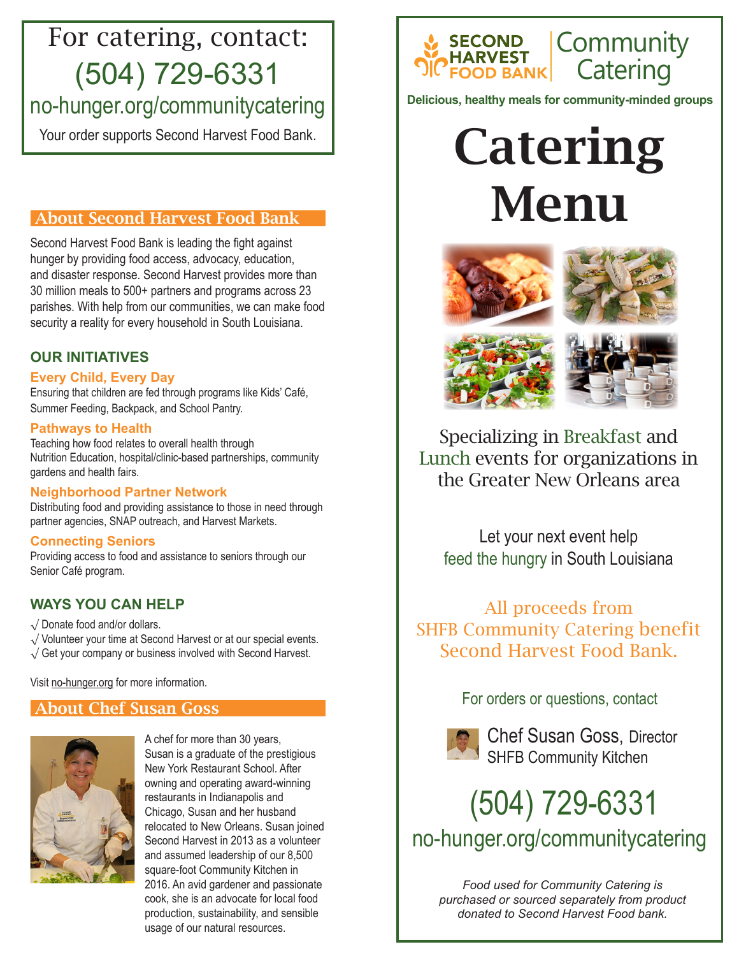# (504) 729-6331 For catering, contact:

## no-hunger.org/communitycatering

## About Second Harvest Food Bank

Second Harvest Food Bank is leading the fight against hunger by providing food access, advocacy, education, and disaster response. Second Harvest provides more than 30 million meals to 500+ partners and programs across 23 parishes. With help from our communities, we can make food security a reality for every household in South Louisiana.

## **OUR INITIATIVES**

## **Every Child, Every Day**

Ensuring that children are fed through programs like Kids' Café, Summer Feeding, Backpack, and School Pantry.

### **Pathways to Health**

Teaching how food relates to overall health through Nutrition Education, hospital/clinic-based partnerships, community gardens and health fairs.

## **Neighborhood Partner Network**

Distributing food and providing assistance to those in need through partner agencies, SNAP outreach, and Harvest Markets.

## **Connecting Seniors**

Providing access to food and assistance to seniors through our Senior Café program.

## **WAYS YOU CAN HELP**

√ Donate food and/or dollars.

- √ Volunteer your time at Second Harvest or at our special events.
- √ Get your company or business involved with Second Harvest.

Visit no-hunger.org for more information.

## About Chef Susan Goss



A chef for more than 30 years, Susan is a graduate of the prestigious New York Restaurant School. After owning and operating award-winning restaurants in Indianapolis and Chicago, Susan and her husband relocated to New Orleans. Susan joined Second Harvest in 2013 as a volunteer and assumed leadership of our 8,500 square-foot Community Kitchen in 2016. An avid gardener and passionate cook, she is an advocate for local food production, sustainability, and sensible usage of our natural resources.



**Delicious, healthy meals for community-minded groups**

# Your order supports Second Harvest Food Bank. | Catering Menu





Specializing in Breakfast and Lunch events for organizations in the Greater New Orleans area

Let your next event help feed the hungry in South Louisiana

All proceeds from SHFB Community Catering benefit Second Harvest Food Bank.

For orders or questions, contact



Chef Susan Goss, Director SHFB Community Kitchen

# no-hunger.org/communitycatering (504) 729-6331

*Food used for Community Catering is purchased or sourced separately from product donated to Second Harvest Food bank.*